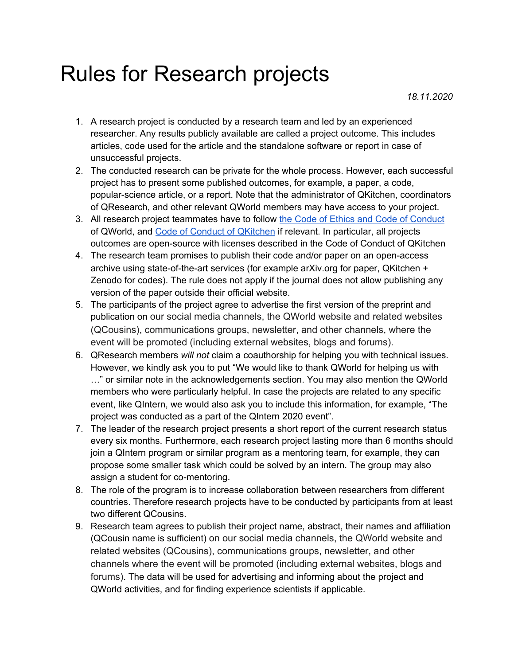## Rules for Research projects

*18.11.2020*

- 1. A research project is conducted by a research team and led by an experienced researcher. Any results publicly available are called a project outcome. This includes articles, code used for the article and the standalone software or report in case of unsuccessful projects.
- 2. The conducted research can be private for the whole process. However, each successful project has to present some published outcomes, for example, a paper, a code, popular-science article, or a report. Note that the administrator of QKitchen, coordinators of QResearch, and other relevant QWorld members may have access to your project.
- 3. All research project teammates have to follow the Code of Ethics and Code of [Conduct](https://gitlab.com/qkitchen/qworld-documentation/-/tree/release/general/code_of_conduct) of QWorld, and Code of Conduct of [QKitchen](https://gitlab.com/qkitchen/qworld-documentation/-/blob/dda01f1b5e88a324931271fd57487c86771b0e93/general/code_of_conduct/coc_qkitchen_2020_03_30.md) if relevant. In particular, all projects outcomes are open-source with licenses described in the Code of Conduct of QKitchen
- 4. The research team promises to publish their code and/or paper on an open-access archive using state-of-the-art services (for example arXiv.org for paper, QKitchen + Zenodo for codes). The rule does not apply if the journal does not allow publishing any version of the paper outside their official website.
- 5. The participants of the project agree to advertise the first version of the preprint and publication on our social media channels, the QWorld website and related websites (QCousins), communications groups, newsletter, and other channels, where the event will be promoted (including external websites, blogs and forums).
- 6. QResearch members *will not* claim a coauthorship for helping you with technical issues. However, we kindly ask you to put "We would like to thank QWorld for helping us with …" or similar note in the acknowledgements section. You may also mention the QWorld members who were particularly helpful. In case the projects are related to any specific event, like QIntern, we would also ask you to include this information, for example, "The project was conducted as a part of the QIntern 2020 event".
- 7. The leader of the research project presents a short report of the current research status every six months. Furthermore, each research project lasting more than 6 months should join a QIntern program or similar program as a mentoring team, for example, they can propose some smaller task which could be solved by an intern. The group may also assign a student for co-mentoring.
- 8. The role of the program is to increase collaboration between researchers from different countries. Therefore research projects have to be conducted by participants from at least two different QCousins.
- 9. Research team agrees to publish their project name, abstract, their names and affiliation (QCousin name is sufficient) on our social media channels, the QWorld website and related websites (QCousins), communications groups, newsletter, and other channels where the event will be promoted (including external websites, blogs and forums). The data will be used for advertising and informing about the project and QWorld activities, and for finding experience scientists if applicable.